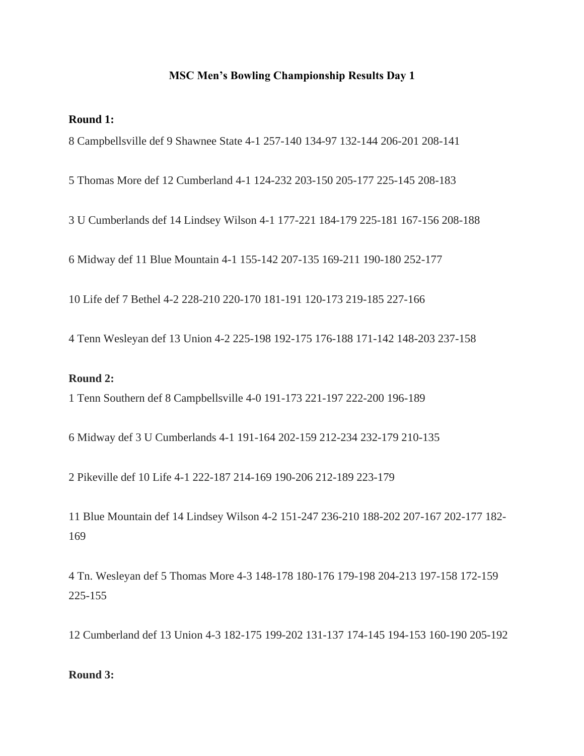### **MSC Men's Bowling Championship Results Day 1**

#### **Round 1:**

8 Campbellsville def 9 Shawnee State 4-1 257-140 134-97 132-144 206-201 208-141

5 Thomas More def 12 Cumberland 4-1 124-232 203-150 205-177 225-145 208-183

3 U Cumberlands def 14 Lindsey Wilson 4-1 177-221 184-179 225-181 167-156 208-188

6 Midway def 11 Blue Mountain 4-1 155-142 207-135 169-211 190-180 252-177

10 Life def 7 Bethel 4-2 228-210 220-170 181-191 120-173 219-185 227-166

4 Tenn Wesleyan def 13 Union 4-2 225-198 192-175 176-188 171-142 148-203 237-158

### **Round 2:**

1 Tenn Southern def 8 Campbellsville 4-0 191-173 221-197 222-200 196-189

6 Midway def 3 U Cumberlands 4-1 191-164 202-159 212-234 232-179 210-135

2 Pikeville def 10 Life 4-1 222-187 214-169 190-206 212-189 223-179

11 Blue Mountain def 14 Lindsey Wilson 4-2 151-247 236-210 188-202 207-167 202-177 182- 169

4 Tn. Wesleyan def 5 Thomas More 4-3 148-178 180-176 179-198 204-213 197-158 172-159 225-155

12 Cumberland def 13 Union 4-3 182-175 199-202 131-137 174-145 194-153 160-190 205-192

### **Round 3:**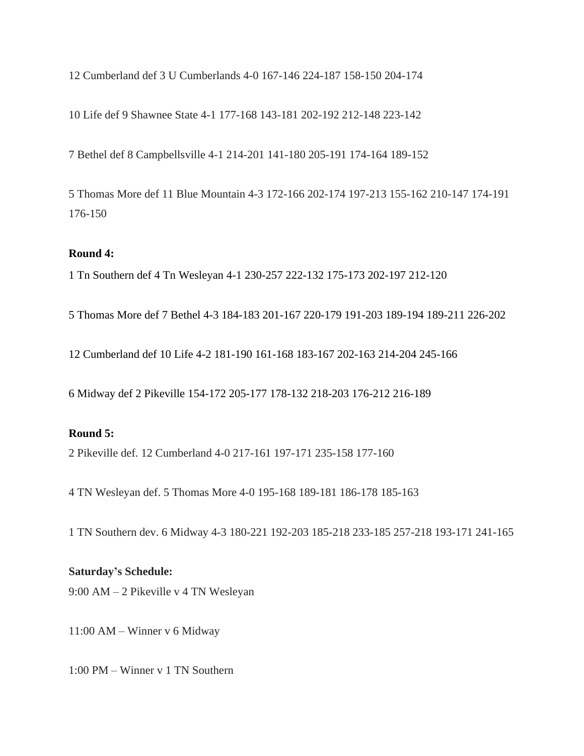12 Cumberland def 3 U Cumberlands 4-0 167-146 224-187 158-150 204-174

10 Life def 9 Shawnee State 4-1 177-168 143-181 202-192 212-148 223-142

7 Bethel def 8 Campbellsville 4-1 214-201 141-180 205-191 174-164 189-152

5 Thomas More def 11 Blue Mountain 4-3 172-166 202-174 197-213 155-162 210-147 174-191 176-150

# **Round 4:**

1 Tn Southern def 4 Tn Wesleyan 4-1 230-257 222-132 175-173 202-197 212-120

5 Thomas More def 7 Bethel 4-3 184-183 201-167 220-179 191-203 189-194 189-211 226-202

12 Cumberland def 10 Life 4-2 181-190 161-168 183-167 202-163 214-204 245-166

6 Midway def 2 Pikeville 154-172 205-177 178-132 218-203 176-212 216-189

# **Round 5:**

2 Pikeville def. 12 Cumberland 4-0 217-161 197-171 235-158 177-160

4 TN Wesleyan def. 5 Thomas More 4-0 195-168 189-181 186-178 185-163

1 TN Southern dev. 6 Midway 4-3 180-221 192-203 185-218 233-185 257-218 193-171 241-165

## **Saturday's Schedule:**

9:00 AM – 2 Pikeville v 4 TN Wesleyan

11:00 AM – Winner v 6 Midway

1:00 PM – Winner v 1 TN Southern